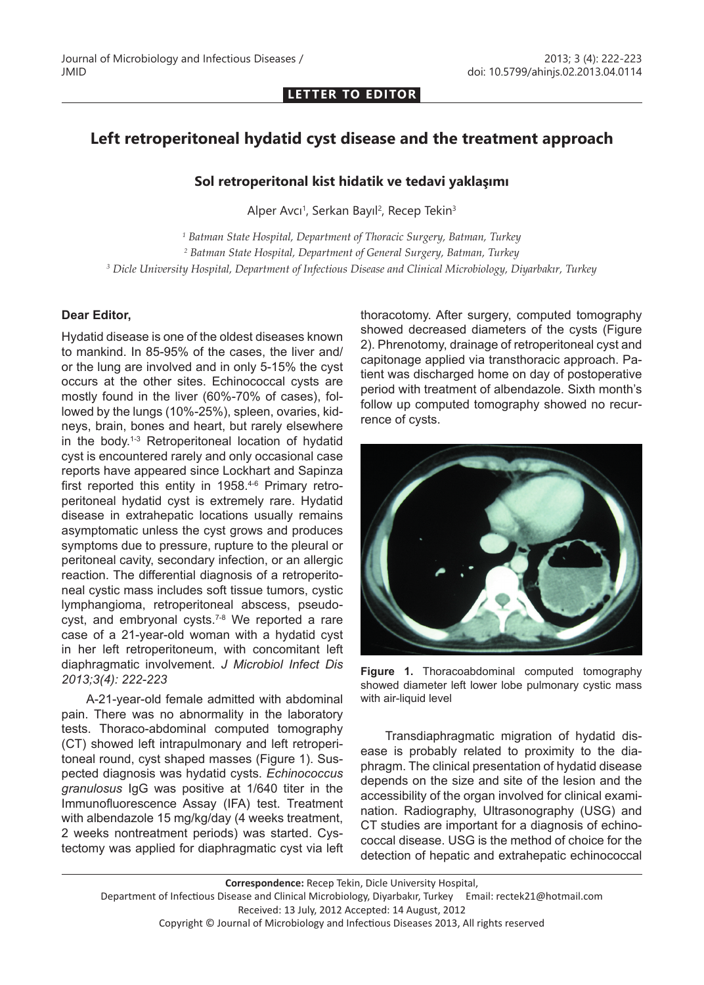**LETTER TO EDITOR**

## **Left retroperitoneal hydatid cyst disease and the treatment approach**

## **Sol retroperitonal kist hidatik ve tedavi yaklaşımı**

Alper Avcı<sup>1</sup>, Serkan Bayıl<sup>2</sup>, Recep Tekin<sup>3</sup>

*1 Batman State Hospital, Department of Thoracic Surgery, Batman, Turkey 2 Batman State Hospital, Department of General Surgery, Batman, Turkey 3 Dicle University Hospital, Department of Infectious Disease and Clinical Microbiology, Diyarbakır, Turkey*

## **Dear Editor,**

Hydatid disease is one of the oldest diseases known to mankind. In 85-95% of the cases, the liver and/ or the lung are involved and in only 5-15% the cyst occurs at the other sites. Echinococcal cysts are mostly found in the liver (60%-70% of cases), followed by the lungs (10%-25%), spleen, ovaries, kidneys, brain, bones and heart, but rarely elsewhere in the body.1-3 Retroperitoneal location of hydatid cyst is encountered rarely and only occasional case reports have appeared since Lockhart and Sapinza first reported this entity in 1958.4-6 Primary retroperitoneal hydatid cyst is extremely rare. Hydatid disease in extrahepatic locations usually remains asymptomatic unless the cyst grows and produces symptoms due to pressure, rupture to the pleural or peritoneal cavity, secondary infection, or an allergic reaction. The differential diagnosis of a retroperitoneal cystic mass includes soft tissue tumors, cystic lymphangioma, retroperitoneal abscess, pseudocyst, and embryonal cysts.7-8 We reported a rare case of a 21-year-old woman with a hydatid cyst in her left retroperitoneum, with concomitant left diaphragmatic involvement. *J Microbiol Infect Dis 2013;3(4): 222-223*

A-21-year-old female admitted with abdominal pain. There was no abnormality in the laboratory tests. Thoraco-abdominal computed tomography (CT) showed left intrapulmonary and left retroperitoneal round, cyst shaped masses (Figure 1). Suspected diagnosis was hydatid cysts. *Echinococcus granulosus* IgG was positive at 1/640 titer in the Immunofluorescence Assay (IFA) test. Treatment with albendazole 15 mg/kg/day (4 weeks treatment, 2 weeks nontreatment periods) was started. Cystectomy was applied for diaphragmatic cyst via left thoracotomy. After surgery, computed tomography showed decreased diameters of the cysts (Figure 2). Phrenotomy, drainage of retroperitoneal cyst and capitonage applied via transthoracic approach. Patient was discharged home on day of postoperative period with treatment of albendazole. Sixth month's follow up computed tomography showed no recurrence of cysts.



**Figure 1.** Thoracoabdominal computed tomography showed diameter left lower lobe pulmonary cystic mass with air-liquid level

Transdiaphragmatic migration of hydatid disease is probably related to proximity to the diaphragm. The clinical presentation of hydatid disease depends on the size and site of the lesion and the accessibility of the organ involved for clinical examination. Radiography, Ultrasonography (USG) and CT studies are important for a diagnosis of echinococcal disease. USG is the method of choice for the detection of hepatic and extrahepatic echinococcal